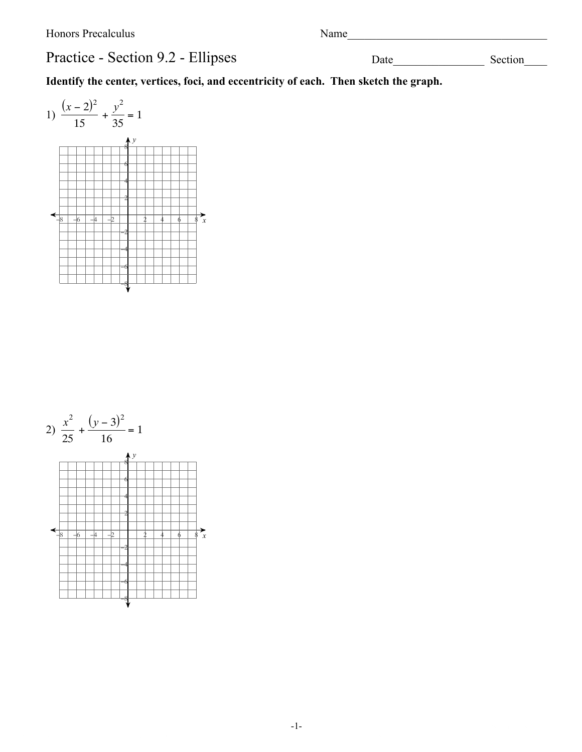Name

## Practice - Section 9.2 - Ellipses

Identify the center, vertices, foci, and eccentricity of each. Then sketch the graph.



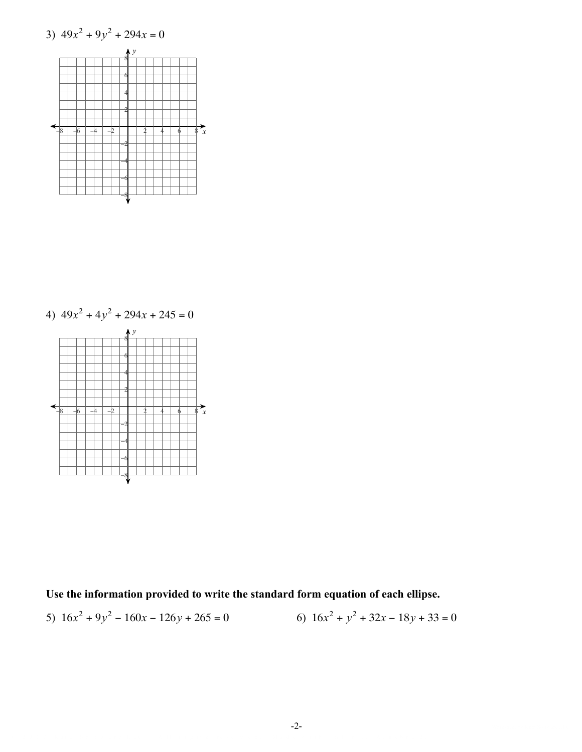3) 
$$
49x^2 + 9y^2 + 294x = 0
$$



4)  $49x^2 + 4y^2 + 294x + 245 = 0$ 



Use the information provided to write the standard form equation of each ellipse.

5)  $16x^2 + 9y^2 - 160x - 126y + 265 = 0$ 6)  $16x^2 + y^2 + 32x - 18y + 33 = 0$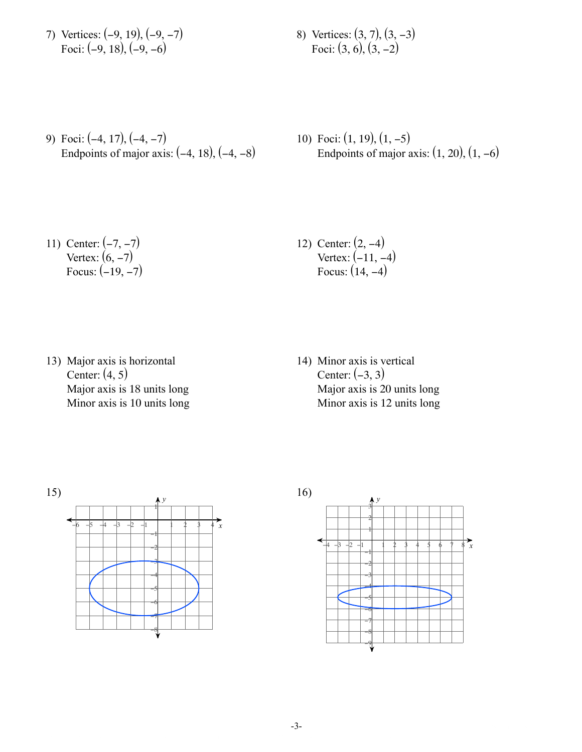7) Vertices: (−9, 19), (−9, −7) Foci: (−9, 18), (−9, −6)

8) Vertices: (3, 7), (3, −3) Foci: (3, 6), (3, −2)

- 9) Foci: (−4, 17), (−4, −7) Endpoints of major axis: (−4, 18), (−4, −8)
- 10) Foci: (1, 19), (1, −5) Endpoints of major axis:  $(1, 20)$ ,  $(1, -6)$

11) Center: (−7, −7) Vertex: (6, −7) Focus: (−19, −7) 12) Center: (2, −4) Vertex: (−11, −4) Focus: (14, −4)

13) Major axis is horizontal Center: (4, 5) Major axis is 18 units long Minor axis is 10 units long 14) Minor axis is vertical Center:  $(-3, 3)$ Major axis is 20 units long Minor axis is 12 units long